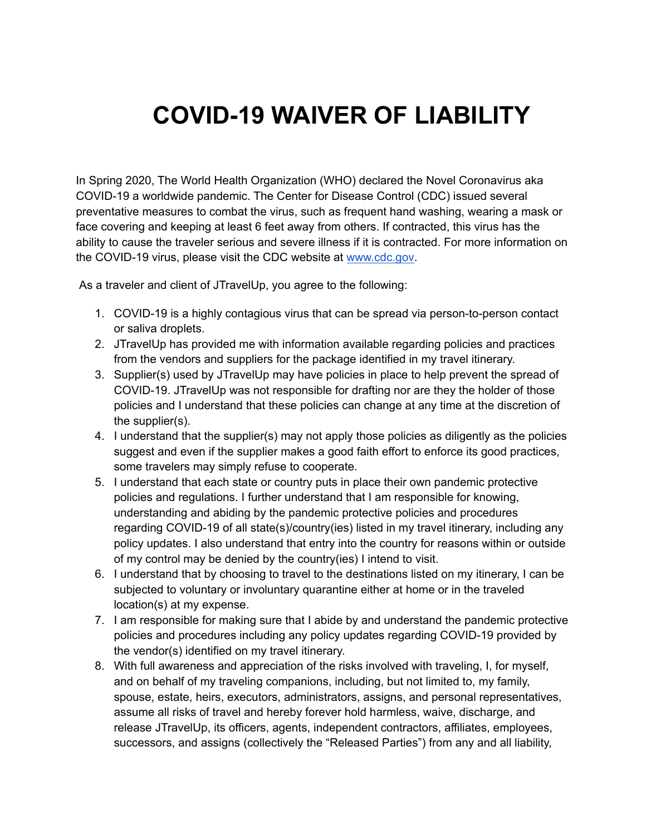## **COVID-19 WAIVER OF LIABILITY**

In Spring 2020, The World Health Organization (WHO) declared the Novel Coronavirus aka COVID-19 a worldwide pandemic. The Center for Disease Control (CDC) issued several preventative measures to combat the virus, such as frequent hand washing, wearing a mask or face covering and keeping at least 6 feet away from others. If contracted, this virus has the ability to cause the traveler serious and severe illness if it is contracted. For more information on the COVID-19 virus, please visit the CDC website at [www.cdc.gov.](http://www.cdc.gov)

As a traveler and client of JTravelUp, you agree to the following:

- 1. COVID-19 is a highly contagious virus that can be spread via person-to-person contact or saliva droplets.
- 2. JTravelUp has provided me with information available regarding policies and practices from the vendors and suppliers for the package identified in my travel itinerary.
- 3. Supplier(s) used by JTravelUp may have policies in place to help prevent the spread of COVID-19. JTravelUp was not responsible for drafting nor are they the holder of those policies and I understand that these policies can change at any time at the discretion of the supplier(s).
- 4. I understand that the supplier(s) may not apply those policies as diligently as the policies suggest and even if the supplier makes a good faith effort to enforce its good practices, some travelers may simply refuse to cooperate.
- 5. I understand that each state or country puts in place their own pandemic protective policies and regulations. I further understand that I am responsible for knowing, understanding and abiding by the pandemic protective policies and procedures regarding COVID-19 of all state(s)/country(ies) listed in my travel itinerary, including any policy updates. I also understand that entry into the country for reasons within or outside of my control may be denied by the country(ies) I intend to visit.
- 6. I understand that by choosing to travel to the destinations listed on my itinerary, I can be subjected to voluntary or involuntary quarantine either at home or in the traveled location(s) at my expense.
- 7. I am responsible for making sure that I abide by and understand the pandemic protective policies and procedures including any policy updates regarding COVID-19 provided by the vendor(s) identified on my travel itinerary.
- 8. With full awareness and appreciation of the risks involved with traveling, I, for myself, and on behalf of my traveling companions, including, but not limited to, my family, spouse, estate, heirs, executors, administrators, assigns, and personal representatives, assume all risks of travel and hereby forever hold harmless, waive, discharge, and release JTravelUp, its officers, agents, independent contractors, affiliates, employees, successors, and assigns (collectively the "Released Parties") from any and all liability,